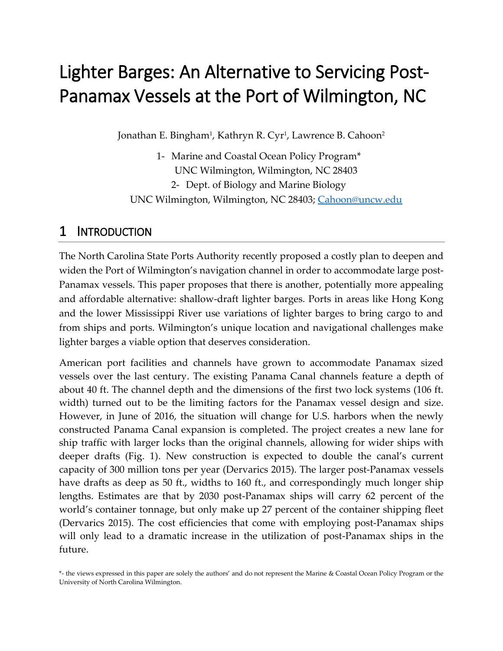# Lighter Barges: An Alternative to Servicing Post-Panamax Vessels at the Port of Wilmington, NC

Jonathan E. Bingham<sup>1</sup>, Kathryn R. Cyr<sup>1</sup>, Lawrence B. Cahoon<sup>2</sup>

1- Marine and Coastal Ocean Policy Program\* UNC Wilmington, Wilmington, NC 28403 2- Dept. of Biology and Marine Biology UNC Wilmington, Wilmington, NC 28403; [Cahoon@uncw.edu](mailto:Cahoon@uncw.edu)

# 1 INTRODUCTION

The North Carolina State Ports Authority recently proposed a costly plan to deepen and widen the Port of Wilmington's navigation channel in order to accommodate large post-Panamax vessels. This paper proposes that there is another, potentially more appealing and affordable alternative: shallow-draft lighter barges. Ports in areas like Hong Kong and the lower Mississippi River use variations of lighter barges to bring cargo to and from ships and ports. Wilmington's unique location and navigational challenges make lighter barges a viable option that deserves consideration.

American port facilities and channels have grown to accommodate Panamax sized vessels over the last century. The existing Panama Canal channels feature a depth of about 40 ft. The channel depth and the dimensions of the first two lock systems (106 ft. width) turned out to be the limiting factors for the Panamax vessel design and size. However, in June of 2016, the situation will change for U.S. harbors when the newly constructed Panama Canal expansion is completed. The project creates a new lane for ship traffic with larger locks than the original channels, allowing for wider ships with deeper drafts (Fig. 1). New construction is expected to double the canal's current capacity of 300 million tons per year (Dervarics 2015). The larger post-Panamax vessels have drafts as deep as 50 ft., widths to 160 ft., and correspondingly much longer ship lengths. Estimates are that by 2030 post-Panamax ships will carry 62 percent of the world's container tonnage, but only make up 27 percent of the container shipping fleet (Dervarics 2015). The cost efficiencies that come with employing post-Panamax ships will only lead to a dramatic increase in the utilization of post-Panamax ships in the future.

<sup>\*-</sup> the views expressed in this paper are solely the authors' and do not represent the Marine & Coastal Ocean Policy Program or the University of North Carolina Wilmington.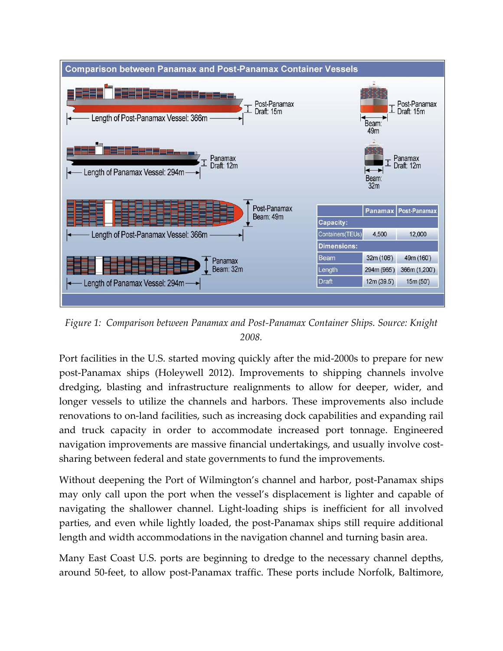

*Figure 1: Comparison between Panamax and Post-Panamax Container Ships. Source: Knight 2008.*

Port facilities in the U.S. started moving quickly after the mid-2000s to prepare for new post-Panamax ships (Holeywell 2012). Improvements to shipping channels involve dredging, blasting and infrastructure realignments to allow for deeper, wider, and longer vessels to utilize the channels and harbors. These improvements also include renovations to on-land facilities, such as increasing dock capabilities and expanding rail and truck capacity in order to accommodate increased port tonnage. Engineered navigation improvements are massive financial undertakings, and usually involve costsharing between federal and state governments to fund the improvements.

Without deepening the Port of Wilmington's channel and harbor, post-Panamax ships may only call upon the port when the vessel's displacement is lighter and capable of navigating the shallower channel. Light-loading ships is inefficient for all involved parties, and even while lightly loaded, the post-Panamax ships still require additional length and width accommodations in the navigation channel and turning basin area.

Many East Coast U.S. ports are beginning to dredge to the necessary channel depths, around 50-feet, to allow post-Panamax traffic. These ports include Norfolk, Baltimore,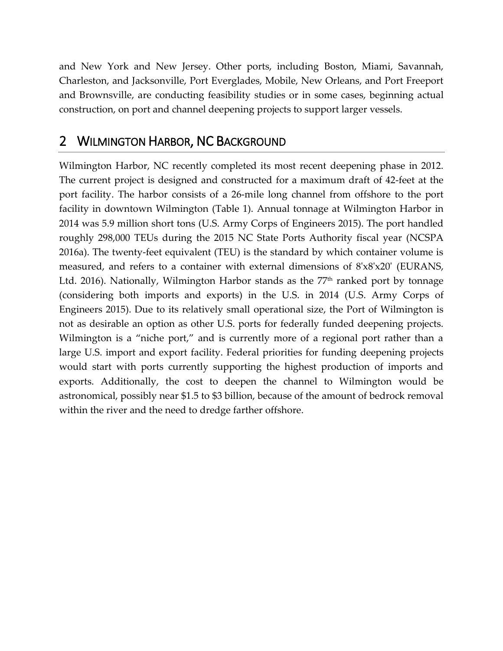and New York and New Jersey. Other ports, including Boston, Miami, Savannah, Charleston, and Jacksonville, Port Everglades, Mobile, New Orleans, and Port Freeport and Brownsville, are conducting feasibility studies or in some cases, beginning actual construction, on port and channel deepening projects to support larger vessels.

## 2 WILMINGTON HARBOR, NC BACKGROUND

Wilmington Harbor, NC recently completed its most recent deepening phase in 2012. The current project is designed and constructed for a maximum draft of 42-feet at the port facility. The harbor consists of a 26-mile long channel from offshore to the port facility in downtown Wilmington (Table 1). Annual tonnage at Wilmington Harbor in 2014 was 5.9 million short tons (U.S. Army Corps of Engineers 2015). The port handled roughly 298,000 TEUs during the 2015 NC State Ports Authority fiscal year (NCSPA 2016a). The twenty-feet equivalent (TEU) is the standard by which container volume is measured, and refers to a container with external dimensions of 8'x8'x20' (EURANS, Ltd. 2016). Nationally, Wilmington Harbor stands as the  $77<sup>th</sup>$  ranked port by tonnage (considering both imports and exports) in the U.S. in 2014 (U.S. Army Corps of Engineers 2015). Due to its relatively small operational size, the Port of Wilmington is not as desirable an option as other U.S. ports for federally funded deepening projects. Wilmington is a "niche port," and is currently more of a regional port rather than a large U.S. import and export facility. Federal priorities for funding deepening projects would start with ports currently supporting the highest production of imports and exports. Additionally, the cost to deepen the channel to Wilmington would be astronomical, possibly near \$1.5 to \$3 billion, because of the amount of bedrock removal within the river and the need to dredge farther offshore.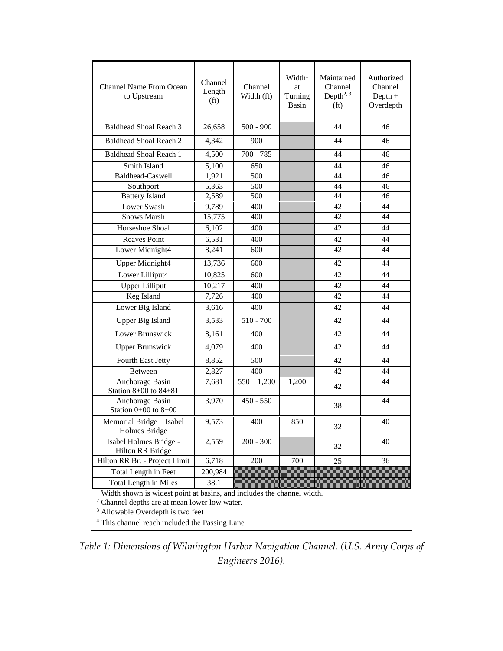| <b>Channel Name From Ocean</b><br>to Upstream                                                                                                                                                                                                                | Channel<br>Length<br>(f <sub>t</sub> ) | Channel<br>Width (ft) | Width <sup>1</sup><br>at<br>Turning<br>Basin | Maintained<br>Channel<br>Depth <sup>2, <math>3</math></sup><br>(f <sub>t</sub> ) | Authorized<br>Channel<br>$Depth +$<br>Overdepth |
|--------------------------------------------------------------------------------------------------------------------------------------------------------------------------------------------------------------------------------------------------------------|----------------------------------------|-----------------------|----------------------------------------------|----------------------------------------------------------------------------------|-------------------------------------------------|
| <b>Baldhead Shoal Reach 3</b>                                                                                                                                                                                                                                | 26,658                                 | $500 - 900$           |                                              | 44                                                                               | 46                                              |
| <b>Baldhead Shoal Reach 2</b>                                                                                                                                                                                                                                | 4,342                                  | 900                   |                                              | 44                                                                               | 46                                              |
| <b>Baldhead Shoal Reach 1</b>                                                                                                                                                                                                                                | 4,500                                  | $700 - 785$           |                                              | 44                                                                               | 46                                              |
| Smith Island                                                                                                                                                                                                                                                 | 5,100                                  | 650                   |                                              | 44                                                                               | 46                                              |
| <b>Baldhead-Caswell</b>                                                                                                                                                                                                                                      | 1,921                                  | 500                   |                                              | 44                                                                               | 46                                              |
| Southport                                                                                                                                                                                                                                                    | 5,363                                  | 500                   |                                              | 44                                                                               | 46                                              |
| <b>Battery Island</b>                                                                                                                                                                                                                                        | 2,589                                  | 500                   |                                              | 44                                                                               | 46                                              |
| Lower Swash                                                                                                                                                                                                                                                  | 9,789                                  | 400                   |                                              | 42                                                                               | 44                                              |
| <b>Snows Marsh</b>                                                                                                                                                                                                                                           | 15,775                                 | 400                   |                                              | 42                                                                               | 44                                              |
| Horseshoe Shoal                                                                                                                                                                                                                                              | 6,102                                  | 400                   |                                              | 42                                                                               | 44                                              |
| <b>Reaves Point</b>                                                                                                                                                                                                                                          | 6,531                                  | 400                   |                                              | 42                                                                               | 44                                              |
| Lower Midnight4                                                                                                                                                                                                                                              | 8,241                                  | 600                   |                                              | 42                                                                               | 44                                              |
| <b>Upper Midnight4</b>                                                                                                                                                                                                                                       | 13,736                                 | 600                   |                                              | 42                                                                               | 44                                              |
| Lower Lilliput4                                                                                                                                                                                                                                              | 10,825                                 | 600                   |                                              | 42                                                                               | 44                                              |
| <b>Upper Lilliput</b>                                                                                                                                                                                                                                        | 10,217                                 | 400                   |                                              | 42                                                                               | 44                                              |
| Keg Island                                                                                                                                                                                                                                                   | 7,726                                  | 400                   |                                              | 42                                                                               | 44                                              |
| Lower Big Island                                                                                                                                                                                                                                             | 3,616                                  | 400                   |                                              | 42                                                                               | 44                                              |
| <b>Upper Big Island</b>                                                                                                                                                                                                                                      | 3,533                                  | $510 - 700$           |                                              | 42                                                                               | 44                                              |
| Lower Brunswick                                                                                                                                                                                                                                              | 8,161                                  | 400                   |                                              | 42                                                                               | 44                                              |
| <b>Upper Brunswick</b>                                                                                                                                                                                                                                       | 4,079                                  | 400                   |                                              | 42                                                                               | 44                                              |
| Fourth East Jetty                                                                                                                                                                                                                                            | 8,852                                  | 500                   |                                              | 42                                                                               | 44                                              |
| Between                                                                                                                                                                                                                                                      | 2,827                                  | 400                   |                                              | 42                                                                               | 44                                              |
| Anchorage Basin<br>Station $8+00$ to $84+81$                                                                                                                                                                                                                 | 7,681                                  | $550 - 1,200$         | 1,200                                        | 42                                                                               | 44                                              |
| Anchorage Basin<br>Station $0+00$ to $8+00$                                                                                                                                                                                                                  | 3,970                                  | $450 - 550$           |                                              | 38                                                                               | 44                                              |
| Memorial Bridge - Isabel<br>Holmes Bridge                                                                                                                                                                                                                    | 9,573                                  | 400                   | 850                                          | 32                                                                               | 40                                              |
| Isabel Holmes Bridge -<br>Hilton RR Bridge                                                                                                                                                                                                                   | 2,559                                  | $200 - 300$           |                                              | 32                                                                               | 40                                              |
| Hilton RR Br. - Project Limit                                                                                                                                                                                                                                | 6,718                                  | 200                   | 700                                          | 25                                                                               | 36                                              |
| Total Length in Feet                                                                                                                                                                                                                                         | 200,984                                |                       |                                              |                                                                                  |                                                 |
| <b>Total Length in Miles</b>                                                                                                                                                                                                                                 | 38.1                                   |                       |                                              |                                                                                  |                                                 |
| <sup>1</sup> Width shown is widest point at basins, and includes the channel width.<br><sup>2</sup> Channel depths are at mean lower low water.<br><sup>3</sup> Allowable Overdepth is two feet<br><sup>4</sup> This channel reach included the Passing Lane |                                        |                       |                                              |                                                                                  |                                                 |

*Table 1: Dimensions of Wilmington Harbor Navigation Channel. (U.S. Army Corps of Engineers 2016).*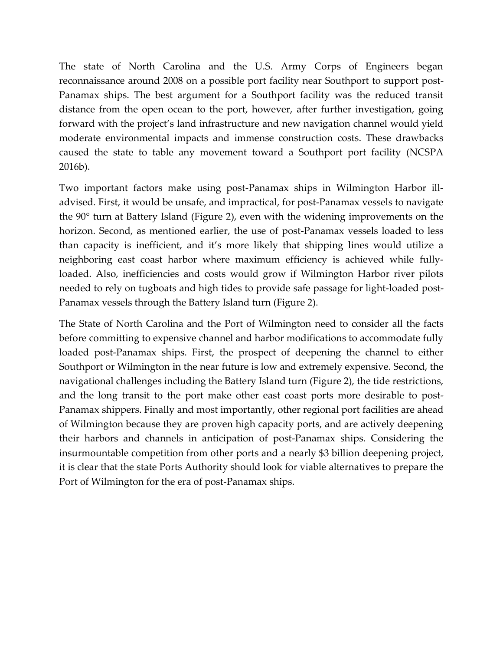The state of North Carolina and the U.S. Army Corps of Engineers began reconnaissance around 2008 on a possible port facility near Southport to support post-Panamax ships. The best argument for a Southport facility was the reduced transit distance from the open ocean to the port, however, after further investigation, going forward with the project's land infrastructure and new navigation channel would yield moderate environmental impacts and immense construction costs. These drawbacks caused the state to table any movement toward a Southport port facility (NCSPA 2016b).

Two important factors make using post-Panamax ships in Wilmington Harbor illadvised. First, it would be unsafe, and impractical, for post-Panamax vessels to navigate the 90° turn at Battery Island (Figure 2), even with the widening improvements on the horizon. Second, as mentioned earlier, the use of post-Panamax vessels loaded to less than capacity is inefficient, and it's more likely that shipping lines would utilize a neighboring east coast harbor where maximum efficiency is achieved while fullyloaded. Also, inefficiencies and costs would grow if Wilmington Harbor river pilots needed to rely on tugboats and high tides to provide safe passage for light-loaded post-Panamax vessels through the Battery Island turn (Figure 2).

The State of North Carolina and the Port of Wilmington need to consider all the facts before committing to expensive channel and harbor modifications to accommodate fully loaded post-Panamax ships. First, the prospect of deepening the channel to either Southport or Wilmington in the near future is low and extremely expensive. Second, the navigational challenges including the Battery Island turn (Figure 2), the tide restrictions, and the long transit to the port make other east coast ports more desirable to post-Panamax shippers. Finally and most importantly, other regional port facilities are ahead of Wilmington because they are proven high capacity ports, and are actively deepening their harbors and channels in anticipation of post-Panamax ships. Considering the insurmountable competition from other ports and a nearly \$3 billion deepening project, it is clear that the state Ports Authority should look for viable alternatives to prepare the Port of Wilmington for the era of post-Panamax ships.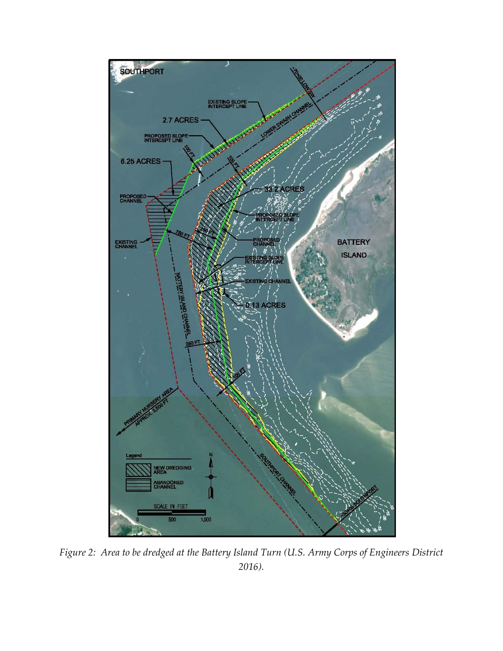

*Figure 2: Area to be dredged at the Battery Island Turn (U.S. Army Corps of Engineers District 2016).*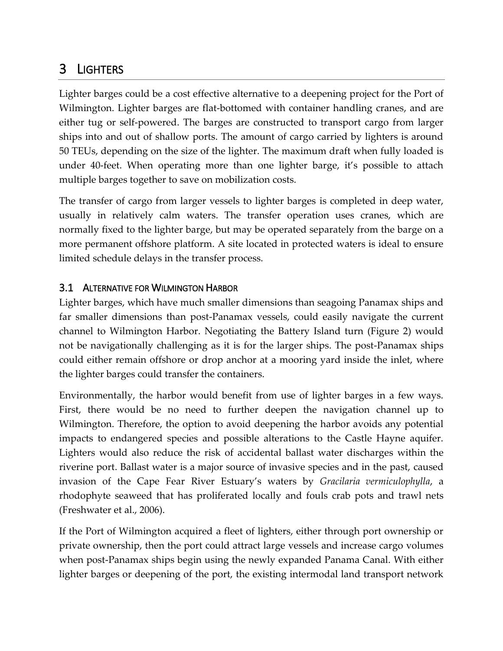# 3 LIGHTERS

Lighter barges could be a cost effective alternative to a deepening project for the Port of Wilmington. Lighter barges are flat-bottomed with container handling cranes, and are either tug or self-powered. The barges are constructed to transport cargo from larger ships into and out of shallow ports. The amount of cargo carried by lighters is around 50 TEUs, depending on the size of the lighter. The maximum draft when fully loaded is under 40-feet. When operating more than one lighter barge, it's possible to attach multiple barges together to save on mobilization costs.

The transfer of cargo from larger vessels to lighter barges is completed in deep water, usually in relatively calm waters. The transfer operation uses cranes, which are normally fixed to the lighter barge, but may be operated separately from the barge on a more permanent offshore platform. A site located in protected waters is ideal to ensure limited schedule delays in the transfer process.

#### 3.1 ALTERNATIVE FOR WILMINGTON HARBOR

Lighter barges, which have much smaller dimensions than seagoing Panamax ships and far smaller dimensions than post-Panamax vessels, could easily navigate the current channel to Wilmington Harbor. Negotiating the Battery Island turn (Figure 2) would not be navigationally challenging as it is for the larger ships. The post-Panamax ships could either remain offshore or drop anchor at a mooring yard inside the inlet, where the lighter barges could transfer the containers.

Environmentally, the harbor would benefit from use of lighter barges in a few ways. First, there would be no need to further deepen the navigation channel up to Wilmington. Therefore, the option to avoid deepening the harbor avoids any potential impacts to endangered species and possible alterations to the Castle Hayne aquifer. Lighters would also reduce the risk of accidental ballast water discharges within the riverine port. Ballast water is a major source of invasive species and in the past, caused invasion of the Cape Fear River Estuary's waters by *Gracilaria vermiculophylla*, a rhodophyte seaweed that has proliferated locally and fouls crab pots and trawl nets (Freshwater et al., 2006).

If the Port of Wilmington acquired a fleet of lighters, either through port ownership or private ownership, then the port could attract large vessels and increase cargo volumes when post-Panamax ships begin using the newly expanded Panama Canal. With either lighter barges or deepening of the port, the existing intermodal land transport network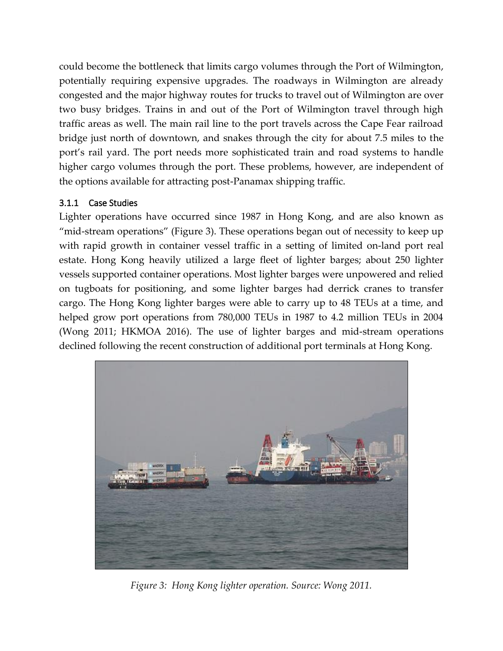could become the bottleneck that limits cargo volumes through the Port of Wilmington, potentially requiring expensive upgrades. The roadways in Wilmington are already congested and the major highway routes for trucks to travel out of Wilmington are over two busy bridges. Trains in and out of the Port of Wilmington travel through high traffic areas as well. The main rail line to the port travels across the Cape Fear railroad bridge just north of downtown, and snakes through the city for about 7.5 miles to the port's rail yard. The port needs more sophisticated train and road systems to handle higher cargo volumes through the port. These problems, however, are independent of the options available for attracting post-Panamax shipping traffic.

#### 3.1.1 Case Studies

Lighter operations have occurred since 1987 in Hong Kong, and are also known as "mid-stream operations" (Figure 3). These operations began out of necessity to keep up with rapid growth in container vessel traffic in a setting of limited on-land port real estate. Hong Kong heavily utilized a large fleet of lighter barges; about 250 lighter vessels supported container operations. Most lighter barges were unpowered and relied on tugboats for positioning, and some lighter barges had derrick cranes to transfer cargo. The Hong Kong lighter barges were able to carry up to 48 TEUs at a time, and helped grow port operations from 780,000 TEUs in 1987 to 4.2 million TEUs in 2004 (Wong 2011; HKMOA 2016). The use of lighter barges and mid-stream operations declined following the recent construction of additional port terminals at Hong Kong.



*Figure 3: Hong Kong lighter operation. Source: Wong 2011.*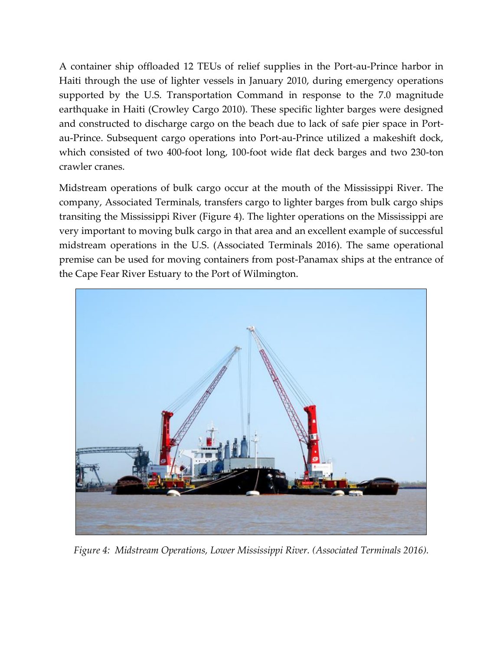A container ship offloaded 12 TEUs of relief supplies in the Port-au-Prince harbor in Haiti through the use of lighter vessels in January 2010, during emergency operations supported by the U.S. Transportation Command in response to the 7.0 magnitude earthquake in Haiti (Crowley Cargo 2010). These specific lighter barges were designed and constructed to discharge cargo on the beach due to lack of safe pier space in Portau-Prince. Subsequent cargo operations into Port-au-Prince utilized a makeshift dock, which consisted of two 400-foot long, 100-foot wide flat deck barges and two 230-ton crawler cranes.

Midstream operations of bulk cargo occur at the mouth of the Mississippi River. The company, Associated Terminals, transfers cargo to lighter barges from bulk cargo ships transiting the Mississippi River (Figure 4). The lighter operations on the Mississippi are very important to moving bulk cargo in that area and an excellent example of successful midstream operations in the U.S. (Associated Terminals 2016). The same operational premise can be used for moving containers from post-Panamax ships at the entrance of the Cape Fear River Estuary to the Port of Wilmington.



*Figure 4: Midstream Operations, Lower Mississippi River. (Associated Terminals 2016).*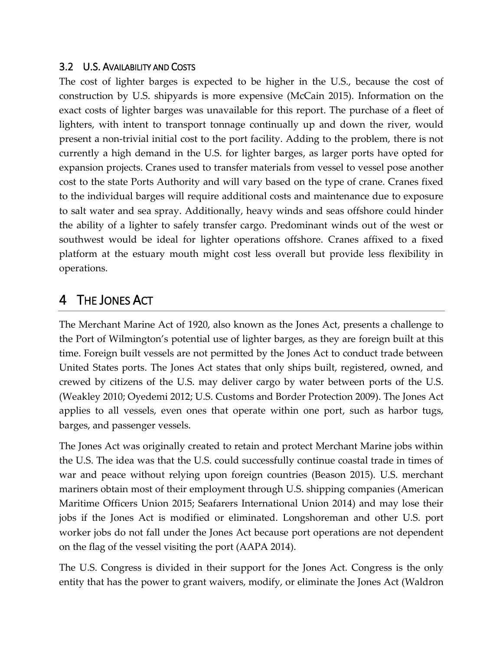#### 3.2 U.S. AVAILABILITY AND COSTS

The cost of lighter barges is expected to be higher in the U.S., because the cost of construction by U.S. shipyards is more expensive (McCain 2015). Information on the exact costs of lighter barges was unavailable for this report. The purchase of a fleet of lighters, with intent to transport tonnage continually up and down the river, would present a non-trivial initial cost to the port facility. Adding to the problem, there is not currently a high demand in the U.S. for lighter barges, as larger ports have opted for expansion projects. Cranes used to transfer materials from vessel to vessel pose another cost to the state Ports Authority and will vary based on the type of crane. Cranes fixed to the individual barges will require additional costs and maintenance due to exposure to salt water and sea spray. Additionally, heavy winds and seas offshore could hinder the ability of a lighter to safely transfer cargo. Predominant winds out of the west or southwest would be ideal for lighter operations offshore. Cranes affixed to a fixed platform at the estuary mouth might cost less overall but provide less flexibility in operations.

# 4 THE JONES ACT

The Merchant Marine Act of 1920, also known as the Jones Act, presents a challenge to the Port of Wilmington's potential use of lighter barges, as they are foreign built at this time. Foreign built vessels are not permitted by the Jones Act to conduct trade between United States ports. The Jones Act states that only ships built, registered, owned, and crewed by citizens of the U.S. may deliver cargo by water between ports of the U.S. (Weakley 2010; Oyedemi 2012; U.S. Customs and Border Protection 2009). The Jones Act applies to all vessels, even ones that operate within one port, such as harbor tugs, barges, and passenger vessels.

The Jones Act was originally created to retain and protect Merchant Marine jobs within the U.S. The idea was that the U.S. could successfully continue coastal trade in times of war and peace without relying upon foreign countries (Beason 2015). U.S. merchant mariners obtain most of their employment through U.S. shipping companies (American Maritime Officers Union 2015; Seafarers International Union 2014) and may lose their jobs if the Jones Act is modified or eliminated. Longshoreman and other U.S. port worker jobs do not fall under the Jones Act because port operations are not dependent on the flag of the vessel visiting the port (AAPA 2014).

The U.S. Congress is divided in their support for the Jones Act. Congress is the only entity that has the power to grant waivers, modify, or eliminate the Jones Act (Waldron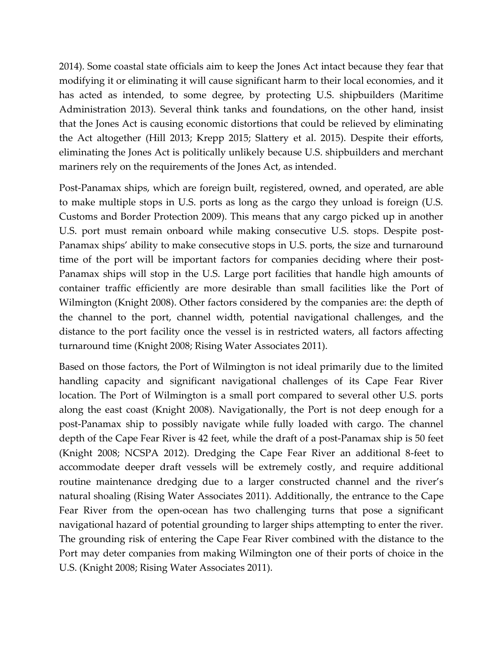2014). Some coastal state officials aim to keep the Jones Act intact because they fear that modifying it or eliminating it will cause significant harm to their local economies, and it has acted as intended, to some degree, by protecting U.S. shipbuilders (Maritime Administration 2013). Several think tanks and foundations, on the other hand, insist that the Jones Act is causing economic distortions that could be relieved by eliminating the Act altogether (Hill 2013; Krepp 2015; Slattery et al. 2015). Despite their efforts, eliminating the Jones Act is politically unlikely because U.S. shipbuilders and merchant mariners rely on the requirements of the Jones Act, as intended.

Post-Panamax ships, which are foreign built, registered, owned, and operated, are able to make multiple stops in U.S. ports as long as the cargo they unload is foreign (U.S. Customs and Border Protection 2009). This means that any cargo picked up in another U.S. port must remain onboard while making consecutive U.S. stops. Despite post-Panamax ships' ability to make consecutive stops in U.S. ports, the size and turnaround time of the port will be important factors for companies deciding where their post-Panamax ships will stop in the U.S. Large port facilities that handle high amounts of container traffic efficiently are more desirable than small facilities like the Port of Wilmington (Knight 2008). Other factors considered by the companies are: the depth of the channel to the port, channel width, potential navigational challenges, and the distance to the port facility once the vessel is in restricted waters, all factors affecting turnaround time (Knight 2008; Rising Water Associates 2011).

Based on those factors, the Port of Wilmington is not ideal primarily due to the limited handling capacity and significant navigational challenges of its Cape Fear River location. The Port of Wilmington is a small port compared to several other U.S. ports along the east coast (Knight 2008). Navigationally, the Port is not deep enough for a post-Panamax ship to possibly navigate while fully loaded with cargo. The channel depth of the Cape Fear River is 42 feet, while the draft of a post-Panamax ship is 50 feet (Knight 2008; NCSPA 2012). Dredging the Cape Fear River an additional 8-feet to accommodate deeper draft vessels will be extremely costly, and require additional routine maintenance dredging due to a larger constructed channel and the river's natural shoaling (Rising Water Associates 2011). Additionally, the entrance to the Cape Fear River from the open-ocean has two challenging turns that pose a significant navigational hazard of potential grounding to larger ships attempting to enter the river. The grounding risk of entering the Cape Fear River combined with the distance to the Port may deter companies from making Wilmington one of their ports of choice in the U.S. (Knight 2008; Rising Water Associates 2011).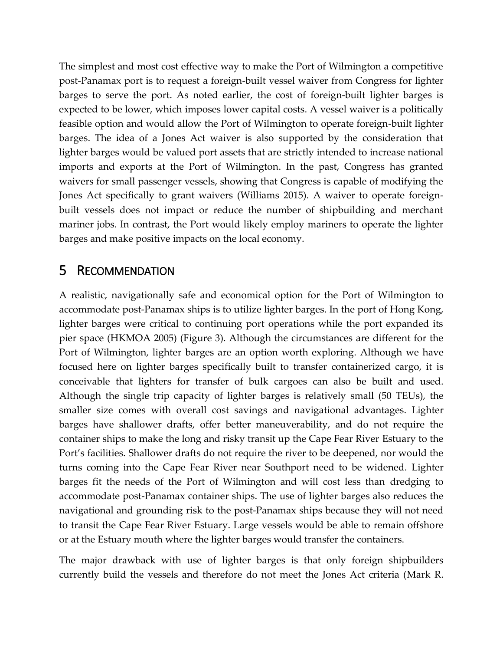The simplest and most cost effective way to make the Port of Wilmington a competitive post-Panamax port is to request a foreign-built vessel waiver from Congress for lighter barges to serve the port. As noted earlier, the cost of foreign-built lighter barges is expected to be lower, which imposes lower capital costs. A vessel waiver is a politically feasible option and would allow the Port of Wilmington to operate foreign-built lighter barges. The idea of a Jones Act waiver is also supported by the consideration that lighter barges would be valued port assets that are strictly intended to increase national imports and exports at the Port of Wilmington. In the past, Congress has granted waivers for small passenger vessels, showing that Congress is capable of modifying the Jones Act specifically to grant waivers (Williams 2015). A waiver to operate foreignbuilt vessels does not impact or reduce the number of shipbuilding and merchant mariner jobs. In contrast, the Port would likely employ mariners to operate the lighter barges and make positive impacts on the local economy.

### 5 RECOMMENDATION

A realistic, navigationally safe and economical option for the Port of Wilmington to accommodate post-Panamax ships is to utilize lighter barges. In the port of Hong Kong, lighter barges were critical to continuing port operations while the port expanded its pier space (HKMOA 2005) (Figure 3). Although the circumstances are different for the Port of Wilmington, lighter barges are an option worth exploring. Although we have focused here on lighter barges specifically built to transfer containerized cargo, it is conceivable that lighters for transfer of bulk cargoes can also be built and used. Although the single trip capacity of lighter barges is relatively small (50 TEUs), the smaller size comes with overall cost savings and navigational advantages. Lighter barges have shallower drafts, offer better maneuverability, and do not require the container ships to make the long and risky transit up the Cape Fear River Estuary to the Port's facilities. Shallower drafts do not require the river to be deepened, nor would the turns coming into the Cape Fear River near Southport need to be widened. Lighter barges fit the needs of the Port of Wilmington and will cost less than dredging to accommodate post-Panamax container ships. The use of lighter barges also reduces the navigational and grounding risk to the post-Panamax ships because they will not need to transit the Cape Fear River Estuary. Large vessels would be able to remain offshore or at the Estuary mouth where the lighter barges would transfer the containers.

The major drawback with use of lighter barges is that only foreign shipbuilders currently build the vessels and therefore do not meet the Jones Act criteria (Mark R.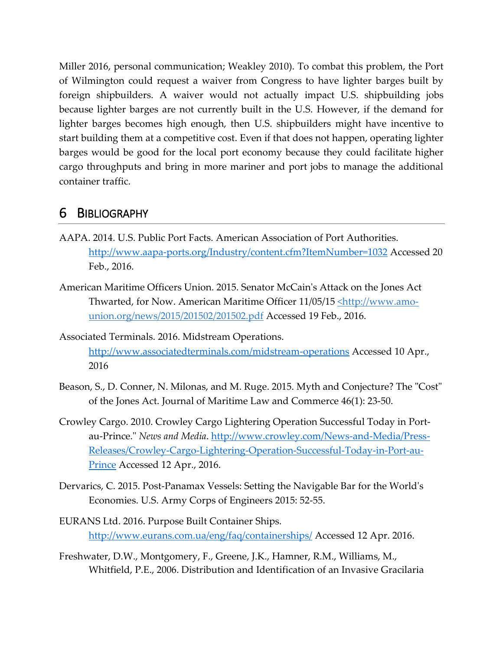Miller 2016, personal communication; Weakley 2010). To combat this problem, the Port of Wilmington could request a waiver from Congress to have lighter barges built by foreign shipbuilders. A waiver would not actually impact U.S. shipbuilding jobs because lighter barges are not currently built in the U.S. However, if the demand for lighter barges becomes high enough, then U.S. shipbuilders might have incentive to start building them at a competitive cost. Even if that does not happen, operating lighter barges would be good for the local port economy because they could facilitate higher cargo throughputs and bring in more mariner and port jobs to manage the additional container traffic.

## 6 BIBLIOGRAPHY

- AAPA. 2014. U.S. Public Port Facts. American Association of Port Authorities. <http://www.aapa-ports.org/Industry/content.cfm?ItemNumber=1032> Accessed 20 Feb., 2016.
- American Maritime Officers Union. 2015. Senator McCain's Attack on the Jones Act Thwarted, for Now. American Maritime Officer 11/05/15 <u><http://www.amo-</u> union.org/news/2015/201502/201502.pdf Accessed 19 Feb., 2016.
- Associated Terminals. 2016. Midstream Operations. <http://www.associatedterminals.com/midstream-operations> Accessed 10 Apr., 2016
- Beason, S., D. Conner, N. Milonas, and M. Ruge. 2015. Myth and Conjecture? The "Cost" of the Jones Act. Journal of Maritime Law and Commerce 46(1): 23-50.
- Crowley Cargo. 2010. Crowley Cargo Lightering Operation Successful Today in Portau-Prince." *News and Media*. [http://www.crowley.com/News-and-Media/Press-](http://www.crowley.com/News-and-Media/Press-Releases/Crowley-Cargo-Lightering-Operation-Successful-Today-in-Port-au-Prince)[Releases/Crowley-Cargo-Lightering-Operation-Successful-Today-in-Port-au-](http://www.crowley.com/News-and-Media/Press-Releases/Crowley-Cargo-Lightering-Operation-Successful-Today-in-Port-au-Prince)[Prince](http://www.crowley.com/News-and-Media/Press-Releases/Crowley-Cargo-Lightering-Operation-Successful-Today-in-Port-au-Prince) Accessed 12 Apr., 2016.
- Dervarics, C. 2015. Post-Panamax Vessels: Setting the Navigable Bar for the World's Economies. U.S. Army Corps of Engineers 2015: 52-55.
- EURANS Ltd. 2016. Purpose Built Container Ships. <http://www.eurans.com.ua/eng/faq/containerships/> Accessed 12 Apr. 2016.
- Freshwater, D.W., Montgomery, F., Greene, J.K., Hamner, R.M., Williams, M., Whitfield, P.E., 2006. Distribution and Identification of an Invasive Gracilaria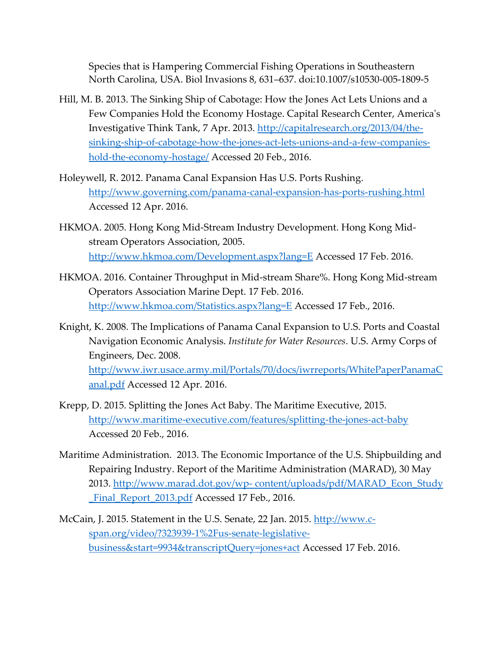Species that is Hampering Commercial Fishing Operations in Southeastern North Carolina, USA. Biol Invasions 8, 631–637. doi:10.1007/s10530-005-1809-5

- Hill, M. B. 2013. The Sinking Ship of Cabotage: How the Jones Act Lets Unions and a Few Companies Hold the Economy Hostage. Capital Research Center, America's Investigative Think Tank, 7 Apr. 2013. [http://capitalresearch.org/2013/04/the](http://capitalresearch.org/2013/04/the-sinking-ship-of-cabotage-how-the-jones-act-lets-unions-and-a-few-companies-hold-the-economy-hostage/)[sinking-ship-of-cabotage-how-the-jones-act-lets-unions-and-a-few-companies](http://capitalresearch.org/2013/04/the-sinking-ship-of-cabotage-how-the-jones-act-lets-unions-and-a-few-companies-hold-the-economy-hostage/)[hold-the-economy-hostage/](http://capitalresearch.org/2013/04/the-sinking-ship-of-cabotage-how-the-jones-act-lets-unions-and-a-few-companies-hold-the-economy-hostage/) Accessed 20 Feb., 2016.
- Holeywell, R. 2012. Panama Canal Expansion Has U.S. Ports Rushing. <http://www.governing.com/panama-canal-expansion-has-ports-rushing.html> Accessed 12 Apr. 2016.
- HKMOA. 2005. Hong Kong Mid-Stream Industry Development. Hong Kong Midstream Operators Association, 2005. <http://www.hkmoa.com/Development.aspx?lang=E> Accessed 17 Feb. 2016.
- HKMOA. 2016. Container Throughput in Mid-stream Share%. Hong Kong Mid-stream Operators Association Marine Dept. 17 Feb. 2016. <http://www.hkmoa.com/Statistics.aspx?lang=E> Accessed 17 Feb., 2016.
- Knight, K. 2008. The Implications of Panama Canal Expansion to U.S. Ports and Coastal Navigation Economic Analysis. *Institute for Water Resources*. U.S. Army Corps of Engineers, Dec. 2008. [http://www.iwr.usace.army.mil/Portals/70/docs/iwrreports/WhitePaperPanamaC](http://www.iwr.usace.army.mil/Portals/70/docs/iwrreports/WhitePaperPanamaCanal.pdf) [anal.pdf](http://www.iwr.usace.army.mil/Portals/70/docs/iwrreports/WhitePaperPanamaCanal.pdf) Accessed 12 Apr. 2016.
- Krepp, D. 2015. Splitting the Jones Act Baby. The Maritime Executive, 2015. <http://www.maritime-executive.com/features/splitting-the-jones-act-baby> Accessed 20 Feb., 2016.
- Maritime Administration. 2013. The Economic Importance of the U.S. Shipbuilding and Repairing Industry. Report of the Maritime Administration (MARAD), 30 May 2013. http://www.marad.dot.gov/wp- [content/uploads/pdf/MARAD\\_Econ\\_Study](http://www.marad.dot.gov/wp-%20content/uploads/pdf/MARAD_Econ_Study%20_Final_Report_2013.pdf)  Final\_Report\_2013.pdf Accessed 17 Feb., 2016.
- McCain, J. 2015. Statement in the U.S. Senate, 22 Jan. 2015. [http://www.c](http://www.c-span.org/video/?323939-1%2Fus-senate-legislative-business&start=9934&transcriptQuery=jones+act)[span.org/video/?323939-1%2Fus-senate-legislative](http://www.c-span.org/video/?323939-1%2Fus-senate-legislative-business&start=9934&transcriptQuery=jones+act)[business&start=9934&transcriptQuery=jones+act](http://www.c-span.org/video/?323939-1%2Fus-senate-legislative-business&start=9934&transcriptQuery=jones+act) Accessed 17 Feb. 2016.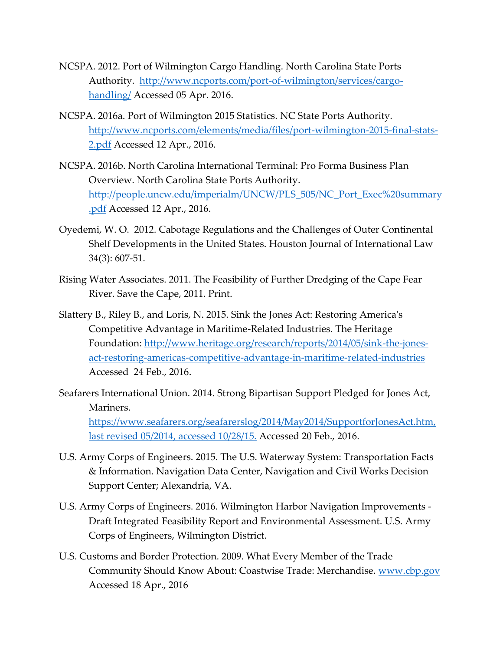- NCSPA. 2012. Port of Wilmington Cargo Handling. North Carolina State Ports Authority. [http://www.ncports.com/port-of-wilmington/services/cargo](http://www.ncports.com/port-of-wilmington/services/cargo-handling/)[handling/](http://www.ncports.com/port-of-wilmington/services/cargo-handling/) Accessed 05 Apr. 2016.
- NCSPA. 2016a. Port of Wilmington 2015 Statistics. NC State Ports Authority. [http://www.ncports.com/elements/media/files/port-wilmington-2015-final-stats-](http://www.ncports.com/elements/media/files/port-wilmington-2015-final-stats-2.pdf)[2.pdf](http://www.ncports.com/elements/media/files/port-wilmington-2015-final-stats-2.pdf) Accessed 12 Apr., 2016.
- NCSPA. 2016b. North Carolina International Terminal: Pro Forma Business Plan Overview. North Carolina State Ports Authority. [http://people.uncw.edu/imperialm/UNCW/PLS\\_505/NC\\_Port\\_Exec%20summary](http://people.uncw.edu/imperialm/UNCW/PLS_505/NC_Port_Exec%20summary.pdf) [.pdf](http://people.uncw.edu/imperialm/UNCW/PLS_505/NC_Port_Exec%20summary.pdf) Accessed 12 Apr., 2016.
- Oyedemi, W. O. 2012. Cabotage Regulations and the Challenges of Outer Continental Shelf Developments in the United States. Houston Journal of International Law 34(3): 607-51.
- Rising Water Associates. 2011. The Feasibility of Further Dredging of the Cape Fear River. Save the Cape, 2011. Print.
- Slattery B., Riley B., and Loris, N. 2015. Sink the Jones Act: Restoring America's Competitive Advantage in Maritime-Related Industries. The Heritage Foundation: [http://www.heritage.org/research/reports/2014/05/sink-the-jones](http://www.heritage.org/research/reports/2014/05/sink-the-jones-act-restoring-americas-competitive-advantage-in-maritime-related-industries)[act-restoring-americas-competitive-advantage-in-maritime-related-industries](http://www.heritage.org/research/reports/2014/05/sink-the-jones-act-restoring-americas-competitive-advantage-in-maritime-related-industries) Accessed 24 Feb., 2016.
- Seafarers International Union. 2014. Strong Bipartisan Support Pledged for Jones Act, Mariners. [https://www.seafarers.org/seafarerslog/2014/May2014/SupportforJonesAct.htm,](https://www.seafarers.org/seafarerslog/2014/May2014/SupportforJonesAct.htm,%20last%20revised%2005/2014,%20accessed%2010/28/15.)  last revised [05/2014, accessed 10/28/15.](https://www.seafarers.org/seafarerslog/2014/May2014/SupportforJonesAct.htm,%20last%20revised%2005/2014,%20accessed%2010/28/15.) Accessed 20 Feb., 2016.
- U.S. Army Corps of Engineers. 2015. The U.S. Waterway System: Transportation Facts & Information. Navigation Data Center, Navigation and Civil Works Decision Support Center; Alexandria, VA.
- U.S. Army Corps of Engineers. 2016. Wilmington Harbor Navigation Improvements Draft Integrated Feasibility Report and Environmental Assessment. U.S. Army Corps of Engineers, Wilmington District.
- U.S. Customs and Border Protection. 2009. What Every Member of the Trade Community Should Know About: Coastwise Trade: Merchandise. [www.cbp.gov](http://www.cbp.gov/) Accessed 18 Apr., 2016